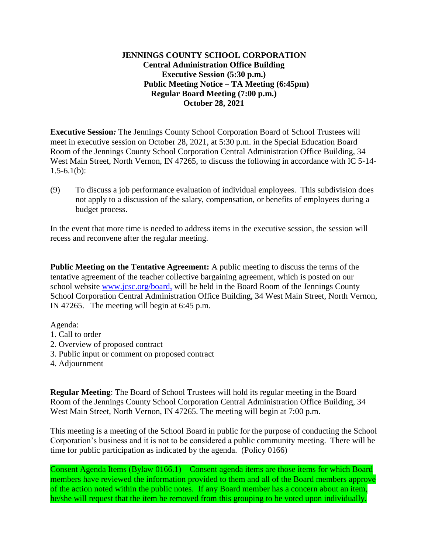## **JENNINGS COUNTY SCHOOL CORPORATION Central Administration Office Building Executive Session (5:30 p.m.) Public Meeting Notice – TA Meeting (6:45pm) Regular Board Meeting (7:00 p.m.) October 28, 2021**

**Executive Session***:* The Jennings County School Corporation Board of School Trustees will meet in executive session on October 28, 2021, at 5:30 p.m. in the Special Education Board Room of the Jennings County School Corporation Central Administration Office Building, 34 West Main Street, North Vernon, IN 47265, to discuss the following in accordance with IC 5-14-  $1.5 - 6.1(b)$ :

(9) To discuss a job performance evaluation of individual employees. This subdivision does not apply to a discussion of the salary, compensation, or benefits of employees during a budget process.

In the event that more time is needed to address items in the executive session, the session will recess and reconvene after the regular meeting.

**Public Meeting on the Tentative Agreement:** A public meeting to discuss the terms of the tentative agreement of the teacher collective bargaining agreement, which is posted on our school website [www.jcsc.org/board,](http://www.jcsc.org/board) will be held in the Board Room of the Jennings County School Corporation Central Administration Office Building, 34 West Main Street, North Vernon, IN 47265. The meeting will begin at 6:45 p.m.

Agenda:

- 1. Call to order
- 2. Overview of proposed contract
- 3. Public input or comment on proposed contract
- 4. Adjournment

**Regular Meeting**: The Board of School Trustees will hold its regular meeting in the Board Room of the Jennings County School Corporation Central Administration Office Building, 34 West Main Street, North Vernon, IN 47265. The meeting will begin at 7:00 p.m.

This meeting is a meeting of the School Board in public for the purpose of conducting the School Corporation's business and it is not to be considered a public community meeting. There will be time for public participation as indicated by the agenda. (Policy 0166)

Consent Agenda Items (Bylaw 0166.1) – Consent agenda items are those items for which Board members have reviewed the information provided to them and all of the Board members approve of the action noted within the public notes. If any Board member has a concern about an item, he/she will request that the item be removed from this grouping to be voted upon individually.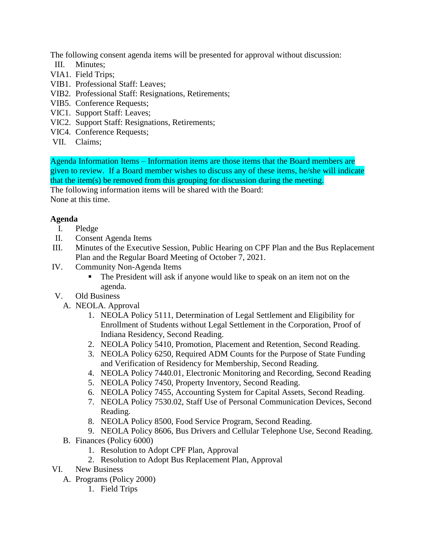The following consent agenda items will be presented for approval without discussion:

- III. Minutes;
- VIA1. Field Trips;
- VIB1. Professional Staff: Leaves;
- VIB2. Professional Staff: Resignations, Retirements;
- VIB5. Conference Requests;
- VIC1. Support Staff: Leaves;
- VIC2. Support Staff: Resignations, Retirements;
- VIC4. Conference Requests;
- VII. Claims;

Agenda Information Items – Information items are those items that the Board members are given to review. If a Board member wishes to discuss any of these items, he/she will indicate that the item(s) be removed from this grouping for discussion during the meeting.

The following information items will be shared with the Board: None at this time.

## **Agenda**

- I. Pledge
- II. Consent Agenda Items
- III. Minutes of the Executive Session, Public Hearing on CPF Plan and the Bus Replacement Plan and the Regular Board Meeting of October 7, 2021.
- IV. Community Non-Agenda Items
	- The President will ask if anyone would like to speak on an item not on the agenda.
- V. Old Business
	- A. NEOLA. Approval
		- 1. NEOLA Policy 5111, Determination of Legal Settlement and Eligibility for Enrollment of Students without Legal Settlement in the Corporation, Proof of Indiana Residency, Second Reading.
		- 2. NEOLA Policy 5410, Promotion, Placement and Retention, Second Reading.
		- 3. NEOLA Policy 6250, Required ADM Counts for the Purpose of State Funding and Verification of Residency for Membership, Second Reading.
		- 4. NEOLA Policy 7440.01, Electronic Monitoring and Recording, Second Reading
		- 5. NEOLA Policy 7450, Property Inventory, Second Reading.
		- 6. NEOLA Policy 7455, Accounting System for Capital Assets, Second Reading.
		- 7. NEOLA Policy 7530.02, Staff Use of Personal Communication Devices, Second Reading.
		- 8. NEOLA Policy 8500, Food Service Program, Second Reading.
		- 9. NEOLA Policy 8606, Bus Drivers and Cellular Telephone Use, Second Reading.
	- B. Finances (Policy 6000)
		- 1. Resolution to Adopt CPF Plan, Approval
		- 2. Resolution to Adopt Bus Replacement Plan, Approval
- VI. New Business
	- A. Programs (Policy 2000)
		- 1. Field Trips